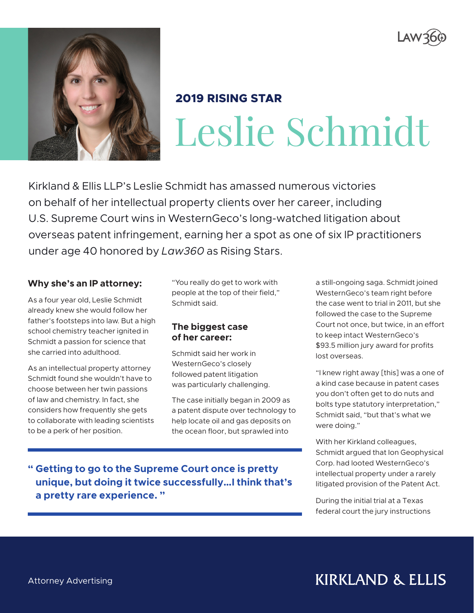



# **2019 RISING STAR** Leslie Schmidt

Kirkland & Ellis LLP's Leslie Schmidt has amassed numerous victories on behalf of her intellectual property clients over her career, including U.S. Supreme Court wins in WesternGeco's long-watched litigation about overseas patent infringement, earning her a spot as one of six IP practitioners under age 40 honored by *Law360* as Rising Stars.

#### **Why she's an IP attorney:**

As a four year old, Leslie Schmidt already knew she would follow her father's footsteps into law. But a high school chemistry teacher ignited in Schmidt a passion for science that she carried into adulthood.

As an intellectual property attorney Schmidt found she wouldn't have to choose between her twin passions of law and chemistry. In fact, she considers how frequently she gets to collaborate with leading scientists to be a perk of her position.

"You really do get to work with people at the top of their field," Schmidt said.

#### **The biggest case of her career:**

Schmidt said her work in WesternGeco's closely followed patent litigation was particularly challenging.

The case initially began in 2009 as a patent dispute over technology to help locate oil and gas deposits on the ocean floor, but sprawled into

a still-ongoing saga. Schmidt joined WesternGeco's team right before the case went to trial in 2011, but she followed the case to the Supreme Court not once, but twice, in an effort to keep intact WesternGeco's \$93.5 million jury award for profits lost overseas.

"I knew right away [this] was a one of a kind case because in patent cases you don't often get to do nuts and bolts type statutory interpretation," Schmidt said, "but that's what we were doing."

With her Kirkland colleagues, Schmidt argued that Ion Geophysical Corp. had looted WesternGeco's intellectual property under a rarely litigated provision of the Patent Act.

During the initial trial at a Texas federal court the jury instructions

**" Getting to go to the Supreme Court once is pretty unique, but doing it twice successfully…I think that's a pretty rare experience. "**

**KIRKLAND & ELLIS**